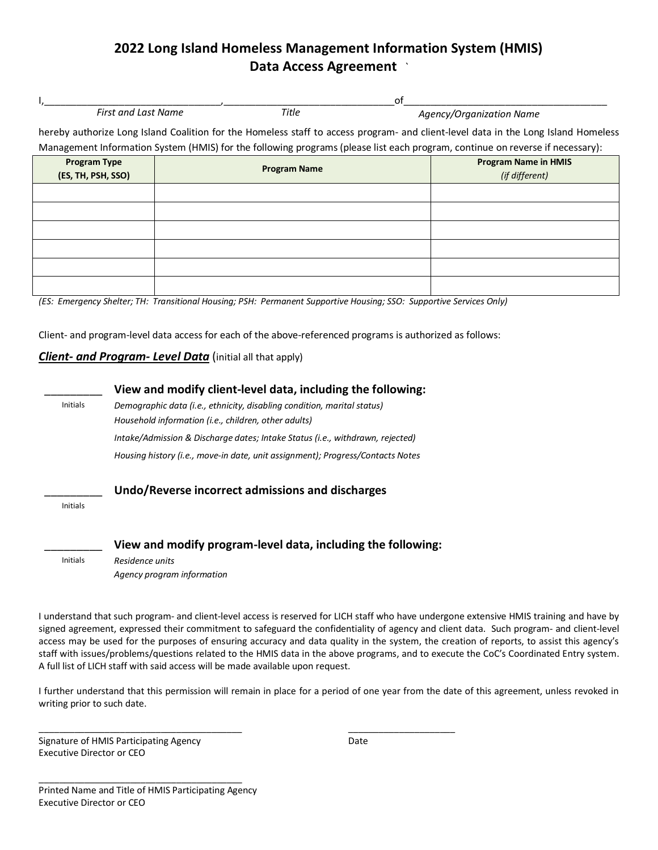## **2022 Long Island Homeless Management Information System (HMIS) Data Access Agreement** *`*

|                     |       | O1                                                                                                                                 |
|---------------------|-------|------------------------------------------------------------------------------------------------------------------------------------|
| First and Last Name | Title | Agency/Organization Name                                                                                                           |
|                     |       | hereby authorize Long Island Coalition for the Homeless staff to access program- and client-level data in the Long Island Homeless |

Management Information System (HMIS) for the following programs (please list each program, continue on reverse if necessary):

| Program Type<br>(ES, TH, PSH, SSO) | <b>Program Name</b> | <b>Program Name in HMIS</b><br>(if different) |
|------------------------------------|---------------------|-----------------------------------------------|
|                                    |                     |                                               |
|                                    |                     |                                               |
|                                    |                     |                                               |
|                                    |                     |                                               |
|                                    |                     |                                               |
|                                    |                     |                                               |

*(ES: Emergency Shelter; TH: Transitional Housing; PSH: Permanent Supportive Housing; SSO: Supportive Services Only)*

Client- and program-level data access for each of the above-referenced programs is authorized as follows:

## *Client- and Program- Level Data* (initial all that apply)

|          | View and modify client-level data, including the following:                                                   |
|----------|---------------------------------------------------------------------------------------------------------------|
| Initials | Demographic data (i.e., ethnicity, disabling condition, marital status)                                       |
|          | Household information (i.e., children, other adults)                                                          |
|          | Intake/Admission & Discharge dates; Intake Status (i.e., withdrawn, rejected)                                 |
|          | Housing history (i.e., move-in date, unit assignment); Progress/Contacts Notes                                |
| Initials | Undo/Reverse incorrect admissions and discharges                                                              |
| Initials | View and modify program-level data, including the following:<br>Residence units<br>Agency program information |

\_\_\_\_\_\_\_\_\_\_\_\_\_\_\_\_\_\_\_\_\_\_\_\_\_\_\_\_\_\_\_\_\_\_\_\_\_\_\_\_ \_\_\_\_\_\_\_\_\_\_\_\_\_\_\_\_\_\_\_\_\_

I understand that such program- and client-level access is reserved for LICH staff who have undergone extensive HMIS training and have by signed agreement, expressed their commitment to safeguard the confidentiality of agency and client data. Such program- and client-level access may be used for the purposes of ensuring accuracy and data quality in the system, the creation of reports, to assist this agency's staff with issues/problems/questions related to the HMIS data in the above programs, and to execute the CoC's Coordinated Entry system. A full list of LICH staff with said access will be made available upon request.

I further understand that this permission will remain in place for a period of one year from the date of this agreement, unless revoked in writing prior to such date.

Signature of HMIS Participating Agency **Date** Executive Director or CEO

\_\_\_\_\_\_\_\_\_\_\_\_\_\_\_\_\_\_\_\_\_\_\_\_\_\_\_\_\_\_\_\_\_\_\_\_\_\_\_\_ Printed Name and Title of HMIS Participating Agency Executive Director or CEO